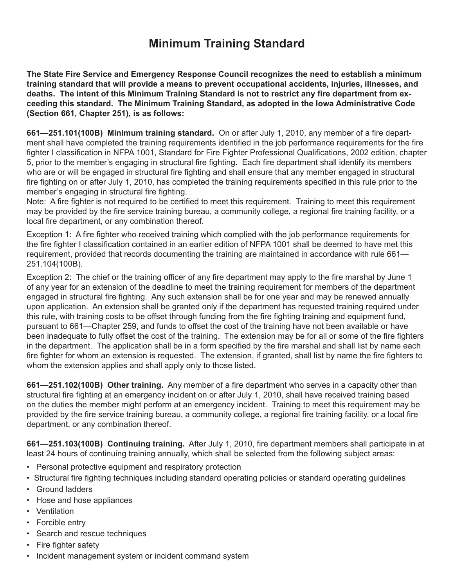## **Minimum Training Standard**

**The State Fire Service and Emergency Response Council recognizes the need to establish a minimum training standard that will provide a means to prevent occupational accidents, injuries, illnesses, and deaths. The intent of this Minimum Training Standard is not to restrict any fire department from exceeding this standard. The Minimum Training Standard, as adopted in the Iowa Administrative Code (Section 661, Chapter 251), is as follows:**

**661—251.101(100B) Minimum training standard.** On or after July 1, 2010, any member of a fire department shall have completed the training requirements identified in the job performance requirements for the fire fighter I classification in NFPA 1001, Standard for Fire Fighter Professional Qualifications, 2002 edition, chapter 5, prior to the member's engaging in structural fire fighting. Each fire department shall identify its members who are or will be engaged in structural fire fighting and shall ensure that any member engaged in structural fire fighting on or after July 1, 2010, has completed the training requirements specified in this rule prior to the member's engaging in structural fire fighting.

Note: A fire fighter is not required to be certified to meet this requirement. Training to meet this requirement may be provided by the fire service training bureau, a community college, a regional fire training facility, or a local fire department, or any combination thereof.

Exception 1: A fire fighter who received training which complied with the job performance requirements for the fire fighter I classification contained in an earlier edition of NFPA 1001 shall be deemed to have met this requirement, provided that records documenting the training are maintained in accordance with rule 661— 251.104(100B).

Exception 2: The chief or the training officer of any fire department may apply to the fire marshal by June 1 of any year for an extension of the deadline to meet the training requirement for members of the department engaged in structural fire fighting. Any such extension shall be for one year and may be renewed annually upon application. An extension shall be granted only if the department has requested training required under this rule, with training costs to be offset through funding from the fire fighting training and equipment fund, pursuant to 661—Chapter 259, and funds to offset the cost of the training have not been available or have been inadequate to fully offset the cost of the training. The extension may be for all or some of the fire fighters in the department. The application shall be in a form specified by the fire marshal and shall list by name each fire fighter for whom an extension is requested. The extension, if granted, shall list by name the fire fighters to whom the extension applies and shall apply only to those listed.

**661—251.102(100B) Other training.** Any member of a fire department who serves in a capacity other than structural fire fighting at an emergency incident on or after July 1, 2010, shall have received training based on the duties the member might perform at an emergency incident. Training to meet this requirement may be provided by the fire service training bureau, a community college, a regional fire training facility, or a local fire department, or any combination thereof.

**661—251.103(100B) Continuing training.** After July 1, 2010, fire department members shall participate in at least 24 hours of continuing training annually, which shall be selected from the following subject areas:

- Personal protective equipment and respiratory protection
- Structural fire fighting techniques including standard operating policies or standard operating guidelines
- Ground ladders
- Hose and hose appliances
- Ventilation
- Forcible entry
- Search and rescue techniques
- Fire fighter safety
- Incident management system or incident command system